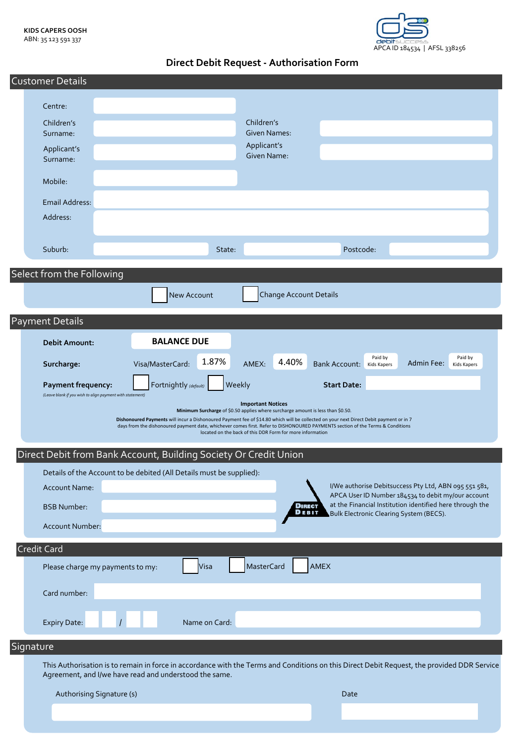

**Direct Debit Request - Authorisation Form**

| <b>Customer Details</b>                                                                                                                                                                                                                                                  |
|--------------------------------------------------------------------------------------------------------------------------------------------------------------------------------------------------------------------------------------------------------------------------|
| Centre:                                                                                                                                                                                                                                                                  |
|                                                                                                                                                                                                                                                                          |
| Children's<br>Children's<br><b>Given Names:</b><br>Surname:                                                                                                                                                                                                              |
| Applicant's<br>Applicant's                                                                                                                                                                                                                                               |
| Given Name:<br>Surname:                                                                                                                                                                                                                                                  |
| Mobile:                                                                                                                                                                                                                                                                  |
| <b>Email Address:</b>                                                                                                                                                                                                                                                    |
| Address:                                                                                                                                                                                                                                                                 |
|                                                                                                                                                                                                                                                                          |
| Postcode:<br>Suburb:<br>State:                                                                                                                                                                                                                                           |
|                                                                                                                                                                                                                                                                          |
| Select from the Following                                                                                                                                                                                                                                                |
| <b>Change Account Details</b><br><b>New Account</b>                                                                                                                                                                                                                      |
|                                                                                                                                                                                                                                                                          |
| <b>Payment Details</b>                                                                                                                                                                                                                                                   |
| <b>BALANCE DUE</b><br><b>Debit Amount:</b>                                                                                                                                                                                                                               |
| Paid by<br>Paid by<br>1.87%<br>4.40%<br>AMEX:<br>Visa/MasterCard:<br>Admin Fee:<br>Surcharge:<br><b>Bank Account:</b><br>Kids Kapers<br>Kids Kapers                                                                                                                      |
|                                                                                                                                                                                                                                                                          |
| Fortnightly (default)<br>Weekly<br>Payment frequency:<br><b>Start Date:</b><br>(Leave blank if you wish to align payment with statement)                                                                                                                                 |
| <b>Important Notices</b><br>Minimum Surcharge of \$0.50 applies where surcharge amount is less than \$0.50.                                                                                                                                                              |
| Dishonoured Payments will incur a Dishonoured Payment fee of \$14.80 which will be collected on your next Direct Debit payment or in 7<br>days from the dishonoured payment date, whichever comes first. Refer to DISHONOURED PAYMENTS section of the Terms & Conditions |
| located on the back of this DDR Form for more information                                                                                                                                                                                                                |
| Direct Debit from Bank Account, Building Society Or Credit Union                                                                                                                                                                                                         |
| Details of the Account to be debited (All Details must be supplied):                                                                                                                                                                                                     |
| I/We authorise Debitsuccess Pty Ltd, ABN 095 551 581,<br><b>Account Name:</b>                                                                                                                                                                                            |
| APCA User ID Number 184534 to debit my/our account<br>at the Financial Institution identified here through the<br><b>DIRECT</b><br><b>BSB Number:</b>                                                                                                                    |
| DEBIT<br>Bulk Electronic Clearing System (BECS).<br>Account Number:                                                                                                                                                                                                      |
|                                                                                                                                                                                                                                                                          |
| <b>Credit Card</b>                                                                                                                                                                                                                                                       |
| <b>MasterCard</b><br>AMEX<br>Visa<br>Please charge my payments to my:                                                                                                                                                                                                    |
|                                                                                                                                                                                                                                                                          |
| Card number:                                                                                                                                                                                                                                                             |
| Name on Card:<br>Expiry Date:                                                                                                                                                                                                                                            |
| Signature                                                                                                                                                                                                                                                                |
| This Authorisation is to remain in force in accordance with the Terms and Conditions on this Direct Debit Request, the provided DDR Service                                                                                                                              |
| Agreement, and I/we have read and understood the same.                                                                                                                                                                                                                   |

Authorising Signature (s) Date Committee Committee Committee Committee Committee Committee Committee Committee